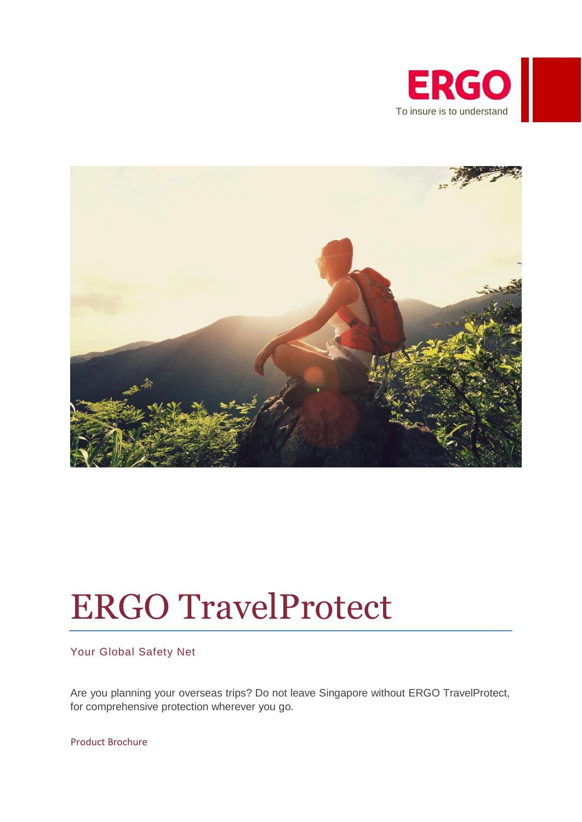



# ERGO TravelProtect

# Your Global Safety Net

Are you planning your overseas trips? Do not leave Singapore without ERGO TravelProtect, for comprehensive protection wherever you go.

Product Brochure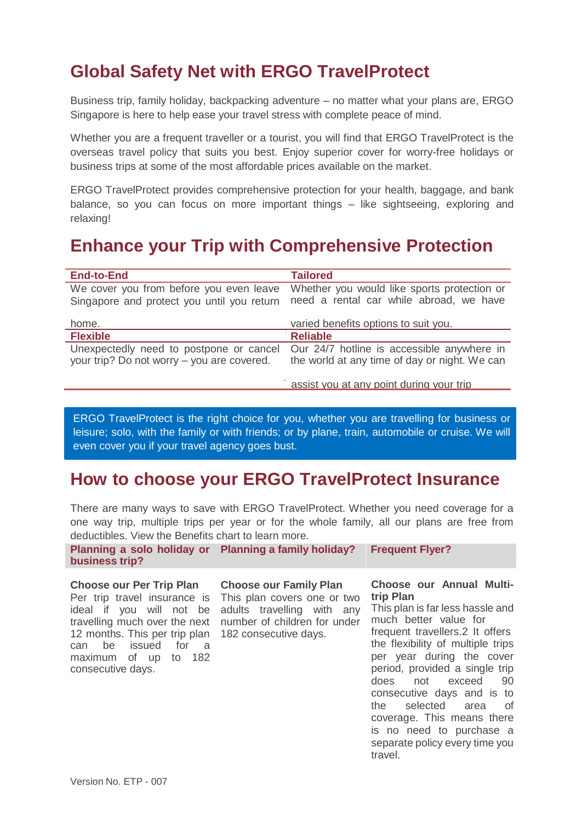# **Global Safety Net with ERGO TravelProtect**

Business trip, family holiday, backpacking adventure – no matter what your plans are, ERGO Singapore is here to help ease your travel stress with complete peace of mind.

Whether you are a frequent traveller or a tourist, you will find that ERGO TravelProtect is the overseas travel policy that suits you best. Enjoy superior cover for worry-free holidays or business trips at some of the most affordable prices available on the market.

ERGO TravelProtect provides comprehensive protection for your health, baggage, and bank balance, so you can focus on more important things – like sightseeing, exploring and relaxing!

# **Enhance your Trip with Comprehensive Protection**

| <b>End-to-End</b>                                                                     | <b>Tailored</b>                                                                             |
|---------------------------------------------------------------------------------------|---------------------------------------------------------------------------------------------|
| We cover you from before you even leave<br>Singapore and protect you until you return | Whether you would like sports protection or<br>need a rental car while abroad, we have      |
| home.                                                                                 | varied benefits options to suit you.                                                        |
| <b>Flexible</b>                                                                       | <b>Reliable</b>                                                                             |
| Unexpectedly need to postpone or cancel<br>your trip? Do not worry – you are covered. | Our 24/7 hotline is accessible anywhere in<br>the world at any time of day or night. We can |
|                                                                                       | assist you at any point during your trip                                                    |

ERGO TravelProtect is the right choice for you, whether you are travelling for business or leisure; solo, with the family or with friends; or by plane, train, automobile or cruise. We will even cover you if your travel agency goes bust.

# **How to choose your ERGO TravelProtect Insurance**

There are many ways to save with ERGO TravelProtect. Whether you need coverage for a one way trip, multiple trips per year or for the whole family, all our plans are free from deductibles. View the Benefits chart to learn more.

|                | Planning a solo holiday or Planning a family holiday? Frequent Flyer? |  |
|----------------|-----------------------------------------------------------------------|--|
| business trip? |                                                                       |  |

#### **Choose our Per Trip Plan**

Per trip travel insurance is This plan covers one or two ideal if you will not be adults travelling with any travelling much over the next number of children for under 12 months. This per trip plan 182 consecutive days. can be issued for a maximum of up to 182 consecutive days.

#### **Choose our Family Plan**

#### **Choose our Annual Multitrip Plan**

This plan is far less hassle and much better value for frequent travellers.2 It offers the flexibility of multiple trips per year during the cover period, provided a single trip does not exceed 90 consecutive days and is to the selected area of coverage. This means there is no need to purchase a separate policy every time you travel.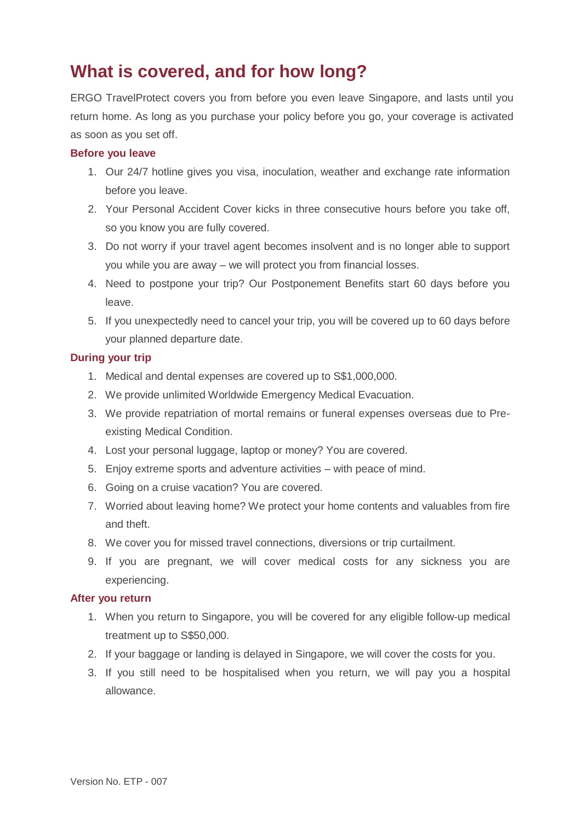# **What is covered, and for how long?**

ERGO TravelProtect covers you from before you even leave Singapore, and lasts until you return home. As long as you purchase your policy before you go, your coverage is activated as soon as you set off.

## **Before you leave**

- 1. Our 24/7 hotline gives you visa, inoculation, weather and exchange rate information before you leave.
- 2. Your Personal Accident Cover kicks in three consecutive hours before you take off, so you know you are fully covered.
- 3. Do not worry if your travel agent becomes insolvent and is no longer able to support you while you are away – we will protect you from financial losses.
- 4. Need to postpone your trip? Our Postponement Benefits start 60 days before you leave.
- 5. If you unexpectedly need to cancel your trip, you will be covered up to 60 days before your planned departure date.

# **During your trip**

- 1. Medical and dental expenses are covered up to S\$1,000,000.
- 2. We provide unlimited Worldwide Emergency Medical Evacuation.
- 3. We provide repatriation of mortal remains or funeral expenses overseas due to Preexisting Medical Condition.
- 4. Lost your personal luggage, laptop or money? You are covered.
- 5. Enjoy extreme sports and adventure activities with peace of mind.
- 6. Going on a cruise vacation? You are covered.
- 7. Worried about leaving home? We protect your home contents and valuables from fire and theft.
- 8. We cover you for missed travel connections, diversions or trip curtailment.
- 9. If you are pregnant, we will cover medical costs for any sickness you are experiencing.

### **After you return**

- 1. When you return to Singapore, you will be covered for any eligible follow-up medical treatment up to S\$50,000.
- 2. If your baggage or landing is delayed in Singapore, we will cover the costs for you.
- 3. If you still need to be hospitalised when you return, we will pay you a hospital allowance.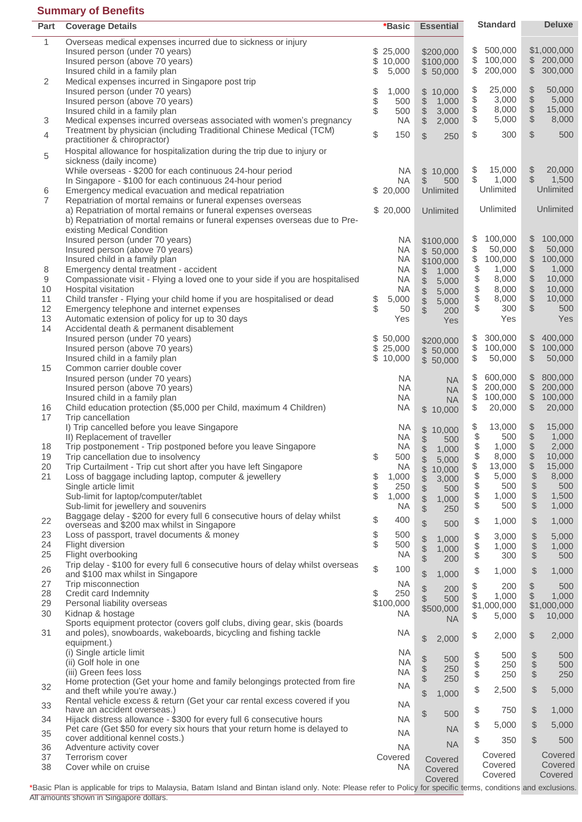# **Summary of Benefits**

| Part           | <b>Coverage Details</b>                                                                                                   | *Basic                 | <b>Essential</b>                                       | <b>Standard</b>                | <b>Deluxe</b>                                           |
|----------------|---------------------------------------------------------------------------------------------------------------------------|------------------------|--------------------------------------------------------|--------------------------------|---------------------------------------------------------|
| 1              | Overseas medical expenses incurred due to sickness or injury                                                              |                        |                                                        |                                |                                                         |
|                | Insured person (under 70 years)                                                                                           | \$<br>25,000           | \$200,000                                              | \$<br>500,000                  | \$1,000,000                                             |
|                | Insured person (above 70 years)                                                                                           | \$10,000               | \$100,000                                              | \$<br>100,000                  | \$200,000                                               |
|                | Insured child in a family plan                                                                                            | \$<br>5,000            | \$50,000                                               | \$<br>200,000                  | \$<br>300,000                                           |
| 2              | Medical expenses incurred in Singapore post trip                                                                          |                        |                                                        |                                |                                                         |
|                | Insured person (under 70 years)                                                                                           | \$<br>1,000            | 10,000<br>\$                                           | 25,000<br>\$                   | $\boldsymbol{\varphi}$<br>50,000                        |
|                | Insured person (above 70 years)                                                                                           | 500                    | $\, \, \raisebox{12pt}{$\scriptstyle \circ$}$<br>1,000 | \$<br>3,000                    | \$<br>5,000                                             |
|                | Insured child in a family plan                                                                                            | \$<br>500              | \$<br>3,000                                            | \$<br>8,000                    | 15,000                                                  |
| 3              | Medical expenses incurred overseas associated with women's pregnancy                                                      | <b>NA</b>              | \$<br>2,000                                            | \$<br>5,000                    | \$<br>8,000                                             |
| 4              | Treatment by physician (including Traditional Chinese Medical (TCM)                                                       | \$<br>150              | \$<br>250                                              | \$<br>300                      | \$<br>500                                               |
|                | practitioner & chiropractor)                                                                                              |                        |                                                        |                                |                                                         |
| 5              | Hospital allowance for hospitalization during the trip due to injury or                                                   |                        |                                                        |                                |                                                         |
|                | sickness (daily income)                                                                                                   |                        |                                                        | \$<br>15,000                   | $\, \, \raisebox{12pt}{$\scriptstyle \circ$}$<br>20,000 |
|                | While overseas - \$200 for each continuous 24-hour period<br>In Singapore - \$100 for each continuous 24-hour period      | <b>NA</b><br><b>NA</b> | \$<br>10,000<br>\$<br>500                              | \$<br>1,000                    | $\frac{1}{2}$<br>1,500                                  |
| 6              | Emergency medical evacuation and medical repatriation                                                                     | \$20,000               | <b>Unlimited</b>                                       | Unlimited                      | Unlimited                                               |
| $\overline{7}$ | Repatriation of mortal remains or funeral expenses overseas                                                               |                        |                                                        |                                |                                                         |
|                | a) Repatriation of mortal remains or funeral expenses overseas                                                            | \$20,000               | Unlimited                                              | Unlimited                      | Unlimited                                               |
|                | b) Repatriation of mortal remains or funeral expenses overseas due to Pre-                                                |                        |                                                        |                                |                                                         |
|                | existing Medical Condition                                                                                                |                        |                                                        |                                |                                                         |
|                | Insured person (under 70 years)                                                                                           | <b>NA</b>              | \$100,000                                              | 100,000<br>\$                  | \$<br>100,000                                           |
|                | Insured person (above 70 years)                                                                                           | <b>NA</b>              | \$50,000                                               | \$<br>50,000                   | \$<br>50,000                                            |
|                | Insured child in a family plan                                                                                            | <b>NA</b>              | \$100,000                                              | \$<br>100,000                  | \$<br>100,000                                           |
| 8              | Emergency dental treatment - accident                                                                                     | <b>NA</b>              | \$<br>1,000                                            | \$<br>1,000                    | \$<br>1,000                                             |
| 9              | Compassionate visit - Flying a loved one to your side if you are hospitalised                                             | <b>NA</b>              | \$<br>5,000                                            | \$<br>8,000                    | \$<br>10,000                                            |
| 10             | Hospital visitation                                                                                                       | <b>NA</b>              | \$<br>5,000                                            | \$<br>8,000                    | \$<br>10,000                                            |
| 11             | Child transfer - Flying your child home if you are hospitalised or dead                                                   | \$<br>5,000            | \$<br>5,000                                            | \$<br>8,000                    | \$<br>10,000                                            |
| 12             | Emergency telephone and internet expenses                                                                                 | \$<br>50               | \$<br>200                                              | \$<br>300                      | \$<br>500                                               |
| 13             | Automatic extension of policy for up to 30 days                                                                           | Yes                    | Yes                                                    | Yes                            | Yes                                                     |
| 14             | Accidental death & permanent disablement                                                                                  |                        |                                                        |                                | 400,000                                                 |
|                | Insured person (under 70 years)                                                                                           | \$50,000<br>\$25,000   | \$200,000                                              | \$<br>300,000<br>\$<br>100,000 | \$<br>$\ddot{\$}$<br>100,000                            |
|                | Insured person (above 70 years)<br>Insured child in a family plan                                                         | \$<br>10,000           | \$50,000                                               | \$<br>50,000                   | \$<br>50,000                                            |
| 15             | Common carrier double cover                                                                                               |                        | \$50,000                                               |                                |                                                         |
|                | Insured person (under 70 years)                                                                                           | <b>NA</b>              | <b>NA</b>                                              | \$<br>600,000                  | \$<br>800,000                                           |
|                | Insured person (above 70 years)                                                                                           | <b>NA</b>              | <b>NA</b>                                              | \$<br>200,000                  | \$<br>200,000                                           |
|                | Insured child in a family plan                                                                                            | <b>NA</b>              | <b>NA</b>                                              | \$<br>100,000                  | \$<br>100,000                                           |
| 16             | Child education protection (\$5,000 per Child, maximum 4 Children)                                                        | <b>NA</b>              | $\mathbb{S}$<br>10,000                                 | \$<br>20,000                   | \$<br>20,000                                            |
| 17             | Trip cancellation                                                                                                         |                        |                                                        |                                |                                                         |
|                | I) Trip cancelled before you leave Singapore                                                                              | <b>NA</b>              | \$<br>10,000                                           | \$<br>13,000                   | $\boldsymbol{\varphi}$<br>15,000                        |
|                | II) Replacement of traveller                                                                                              | <b>NA</b>              | \$<br>500                                              | \$<br>500                      | $\frac{4}{9}$<br>1,000                                  |
| 18             | Trip postponement - Trip postponed before you leave Singapore                                                             | <b>NA</b>              | $\ddot{\$}$<br>1,000                                   | 1,000                          | 2,000                                                   |
| 19<br>20       | Trip cancellation due to insolvency                                                                                       | \$<br>500<br><b>NA</b> | \$<br>5,000                                            | \$<br>8,000<br>13,000          | \$<br>10,000<br>15,000                                  |
| 21             | Trip Curtailment - Trip cut short after you have left Singapore<br>Loss of baggage including laptop, computer & jewellery | \$<br>1,000            | \$<br>10,000                                           | \$<br>\$<br>5,000              | \$<br>$\$\$<br>8,000                                    |
|                | Single article limit                                                                                                      | \$<br>250              | \$<br>3,000                                            | \$<br>500                      | $\frac{1}{2}$<br>500                                    |
|                | Sub-limit for laptop/computer/tablet                                                                                      | \$<br>1,000            | \$<br>500                                              | \$<br>1,000                    | $\, \, \raisebox{12pt}{$\scriptstyle \circ$}$<br>1,500  |
|                | Sub-limit for jewellery and souvenirs                                                                                     | <b>NA</b>              | \$<br>1,000<br>$\frac{1}{2}$<br>250                    | \$<br>500                      | $\$\$<br>1,000                                          |
|                | Baggage delay - \$200 for every full 6 consecutive hours of delay whilst                                                  | \$<br>400              |                                                        |                                |                                                         |
| 22             | overseas and \$200 max whilst in Singapore                                                                                |                        | \$<br>500                                              | \$<br>1,000                    | $\mathcal{S}$<br>1,000                                  |
| 23             | Loss of passport, travel documents & money                                                                                | \$<br>500              | 1,000                                                  | \$<br>3,000                    | $\, \, \raisebox{12pt}{$\scriptstyle \circ$}$<br>5,000  |
| 24             | Flight diversion                                                                                                          | \$<br>500              | \$<br>1,000                                            | \$<br>1,000                    | $\, \, \raisebox{12pt}{$\scriptstyle \circ$}$<br>1,000  |
| 25             | Flight overbooking                                                                                                        | <b>NA</b>              | \$<br>200                                              | \$<br>300                      | $\$\$<br>500                                            |
| 26             | Trip delay - \$100 for every full 6 consecutive hours of delay whilst overseas                                            | \$<br>100              | \$<br>1,000                                            | \$<br>1,000                    | $\frac{1}{2}$<br>1,000                                  |
| 27             | and \$100 max whilst in Singapore<br>Trip misconnection                                                                   | <b>NA</b>              |                                                        |                                |                                                         |
| 28             | Credit card Indemnity                                                                                                     | \$<br>250              | \$<br>200                                              | \$<br>200                      | \$<br>500                                               |
| 29             | Personal liability overseas                                                                                               | \$100,000              | \$<br>500                                              | \$<br>1,000<br>\$1,000,000     | \$<br>1,000<br>\$1,000,000                              |
| 30             | Kidnap & hostage                                                                                                          | <b>NA</b>              | \$500,000                                              | \$<br>5,000                    | 10,000<br>\$                                            |
|                | Sports equipment protector (covers golf clubs, diving gear, skis (boards                                                  |                        | <b>NA</b>                                              |                                |                                                         |
| 31             | and poles), snowboards, wakeboards, bicycling and fishing tackle                                                          | <b>NA</b>              |                                                        | \$<br>2,000                    | \$<br>2,000                                             |
|                | equipment.)                                                                                                               |                        | $\frac{1}{2}$<br>2,000                                 |                                |                                                         |
|                | (i) Single article limit                                                                                                  | <b>NA</b>              | \$<br>500                                              | \$<br>500                      | $\frac{1}{2}$<br>500                                    |
|                | (ii) Golf hole in one                                                                                                     | <b>NA</b>              | \$<br>250                                              | \$<br>250                      | $\$\$<br>500                                            |
|                | (iii) Green fees loss                                                                                                     | <b>NA</b>              | $\frac{1}{2}$<br>250                                   | \$<br>250                      | $\$\$<br>250                                            |
| 32             | Home protection (Get your home and family belongings protected from fire<br>and theft while you're away.)                 | <b>NA</b>              |                                                        | \$<br>2,500                    | $\mathcal{L}$<br>5,000                                  |
|                | Rental vehicle excess & return (Get your car rental excess covered if you                                                 |                        | $\frac{1}{2}$<br>1,000                                 |                                |                                                         |
| 33             | have an accident overseas.)                                                                                               | <b>NA</b>              |                                                        | \$<br>750                      | $\$\$<br>1,000                                          |
| 34             | Hijack distress allowance - \$300 for every full 6 consecutive hours                                                      | <b>NA</b>              | \$<br>500                                              |                                |                                                         |
| 35             | Pet care (Get \$50 for every six hours that your return home is delayed to                                                | <b>NA</b>              | <b>NA</b>                                              | \$<br>5,000                    | \$<br>5,000                                             |
|                | cover additional kennel costs.)                                                                                           |                        | <b>NA</b>                                              | \$<br>350                      | $\mathcal{S}$<br>500                                    |
| 36<br>37       | Adventure activity cover<br>Terrorism cover                                                                               | <b>NA</b><br>Covered   |                                                        | Covered                        | Covered                                                 |
| 38             | Cover while on cruise                                                                                                     | <b>NA</b>              | Covered                                                | Covered                        | Covered                                                 |
|                |                                                                                                                           |                        | Covered<br>Covered                                     | Covered                        | Covered                                                 |
|                |                                                                                                                           |                        |                                                        |                                |                                                         |

\*Basic Plan is applicable for trips to Malaysia, Batam Island and Bintan island only. Note: Please refer to Policy for specific terms, conditions and exclusions. All amounts shown in Singapore dollars.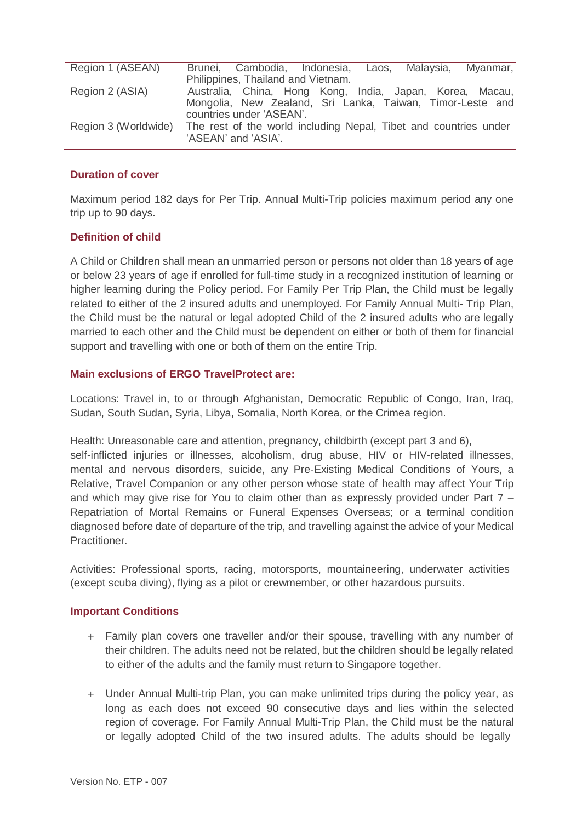| Region 1 (ASEAN)     | Brunei, Cambodia, Indonesia, Laos, Malaysia, Myanmar,            |
|----------------------|------------------------------------------------------------------|
|                      | Philippines, Thailand and Vietnam.                               |
| Region 2 (ASIA)      | Australia, China, Hong Kong, India, Japan, Korea, Macau,         |
|                      | Mongolia, New Zealand, Sri Lanka, Taiwan, Timor-Leste and        |
|                      | countries under 'ASEAN'.                                         |
| Region 3 (Worldwide) | The rest of the world including Nepal, Tibet and countries under |
|                      | 'ASEAN' and 'ASIA'.                                              |

# **Duration of cover**

Maximum period 182 days for Per Trip. Annual Multi-Trip policies maximum period any one trip up to 90 days.

# **Definition of child**

A Child or Children shall mean an unmarried person or persons not older than 18 years of age or below 23 years of age if enrolled for full-time study in a recognized institution of learning or higher learning during the Policy period. For Family Per Trip Plan, the Child must be legally related to either of the 2 insured adults and unemployed. For Family Annual Multi- Trip Plan, the Child must be the natural or legal adopted Child of the 2 insured adults who are legally married to each other and the Child must be dependent on either or both of them for financial support and travelling with one or both of them on the entire Trip.

# **Main exclusions of ERGO TravelProtect are:**

Locations: Travel in, to or through Afghanistan, Democratic Republic of Congo, Iran, Iraq, Sudan, South Sudan, Syria, Libya, Somalia, North Korea, or the Crimea region.

Health: Unreasonable care and attention, pregnancy, childbirth (except part 3 and 6), self-inflicted injuries or illnesses, alcoholism, drug abuse, HIV or HIV-related illnesses, mental and nervous disorders, suicide, any Pre-Existing Medical Conditions of Yours, a Relative, Travel Companion or any other person whose state of health may affect Your Trip and which may give rise for You to claim other than as expressly provided under Part 7 – Repatriation of Mortal Remains or Funeral Expenses Overseas; or a terminal condition diagnosed before date of departure of the trip, and travelling against the advice of your Medical Practitioner.

Activities: Professional sports, racing, motorsports, mountaineering, underwater activities (except scuba diving), flying as a pilot or crewmember, or other hazardous pursuits.

# **Important Conditions**

- Family plan covers one traveller and/or their spouse, travelling with any number of their children. The adults need not be related, but the children should be legally related to either of the adults and the family must return to Singapore together.
- Under Annual Multi-trip Plan, you can make unlimited trips during the policy year, as long as each does not exceed 90 consecutive days and lies within the selected region of coverage. For Family Annual Multi-Trip Plan, the Child must be the natural or legally adopted Child of the two insured adults. The adults should be legally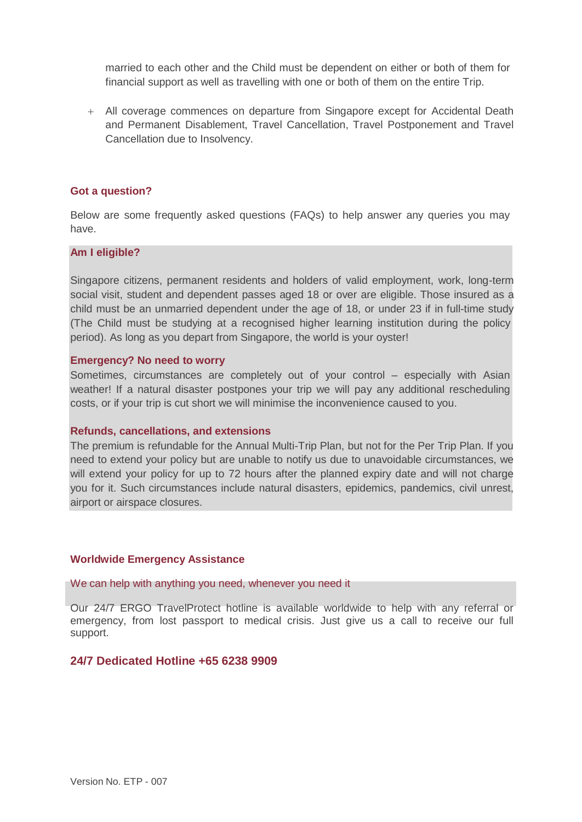married to each other and the Child must be dependent on either or both of them for financial support as well as travelling with one or both of them on the entire Trip.

 All coverage commences on departure from Singapore except for Accidental Death and Permanent Disablement, Travel Cancellation, Travel Postponement and Travel Cancellation due to Insolvency.

#### **Got a question?**

Below are some frequently asked questions (FAQs) to help answer any queries you may have.

### **Am I eligible?**

Singapore citizens, permanent residents and holders of valid employment, work, long-term social visit, student and dependent passes aged 18 or over are eligible. Those insured as a child must be an unmarried dependent under the age of 18, or under 23 if in full-time study (The Child must be studying at a recognised higher learning institution during the policy period). As long as you depart from Singapore, the world is your oyster!

### **Emergency? No need to worry**

Sometimes, circumstances are completely out of your control – especially with Asian weather! If a natural disaster postpones your trip we will pay any additional rescheduling costs, or if your trip is cut short we will minimise the inconvenience caused to you.

#### **Refunds, cancellations, and extensions**

The premium is refundable for the Annual Multi-Trip Plan, but not for the Per Trip Plan. If you need to extend your policy but are unable to notify us due to unavoidable circumstances, we will extend your policy for up to 72 hours after the planned expiry date and will not charge you for it. Such circumstances include natural disasters, epidemics, pandemics, civil unrest, airport or airspace closures.

# **Worldwide Emergency Assistance**

We can help with anything you need, whenever you need it

Our 24/7 ERGO TravelProtect hotline is available worldwide to help with any referral or emergency, from lost passport to medical crisis. Just give us a call to receive our full support.

# **24/7 Dedicated Hotline +65 6238 9909**